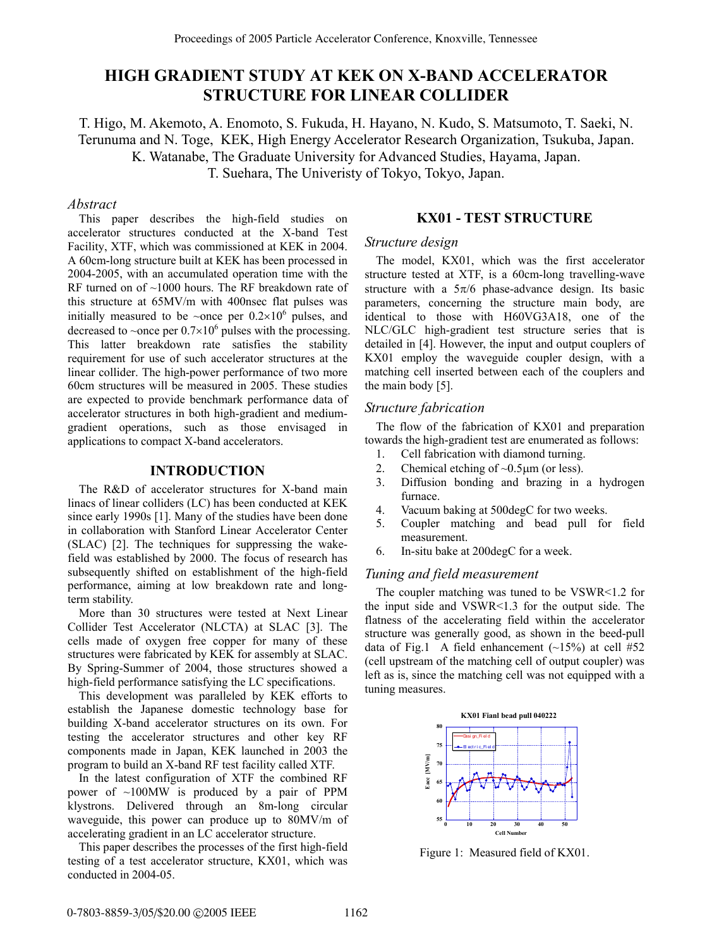# **HIGH GRADIENT STUDY AT KEK ON X-BAND ACCELERATOR STRUCTURE FOR LINEAR COLLIDER**

T. Higo, M. Akemoto, A. Enomoto, S. Fukuda, H. Hayano, N. Kudo, S. Matsumoto, T. Saeki, N. Terunuma and N. Toge, KEK, High Energy Accelerator Research Organization, Tsukuba, Japan. K. Watanabe, The Graduate University for Advanced Studies, Hayama, Japan. T. Suehara, The Univeristy of Tokyo, Tokyo, Japan.

#### *Abstract*

This paper describes the high-field studies on accelerator structures conducted at the X-band Test Facility, XTF, which was commissioned at KEK in 2004. A 60cm-long structure built at KEK has been processed in 2004-2005, with an accumulated operation time with the RF turned on of ~1000 hours. The RF breakdown rate of this structure at 65MV/m with 400nsec flat pulses was initially measured to be ~once per  $0.2 \times 10^6$  pulses, and decreased to ~once per  $0.7 \times 10^6$  pulses with the processing. This latter breakdown rate satisfies the stability requirement for use of such accelerator structures at the linear collider. The high-power performance of two more 60cm structures will be measured in 2005. These studies are expected to provide benchmark performance data of accelerator structures in both high-gradient and mediumgradient operations, such as those envisaged in applications to compact X-band accelerators.

## **INTRODUCTION**

The R&D of accelerator structures for X-band main linacs of linear colliders (LC) has been conducted at KEK since early 1990s [1]. Many of the studies have been done in collaboration with Stanford Linear Accelerator Center (SLAC) [2]. The techniques for suppressing the wakefield was established by 2000. The focus of research has subsequently shifted on establishment of the high-field performance, aiming at low breakdown rate and longterm stability.

More than 30 structures were tested at Next Linear Collider Test Accelerator (NLCTA) at SLAC [3]. The cells made of oxygen free copper for many of these structures were fabricated by KEK for assembly at SLAC. By Spring-Summer of 2004, those structures showed a high-field performance satisfying the LC specifications.

This development was paralleled by KEK efforts to establish the Japanese domestic technology base for building X-band accelerator structures on its own. For testing the accelerator structures and other key RF components made in Japan, KEK launched in 2003 the program to build an X-band RF test facility called XTF.

In the latest configuration of XTF the combined RF power of ~100MW is produced by a pair of PPM klystrons. Delivered through an 8m-long circular waveguide, this power can produce up to 80MV/m of accelerating gradient in an LC accelerator structure.

This paper describes the processes of the first high-field testing of a test accelerator structure, KX01, which was conducted in 2004-05.

#### **KX01 - TEST STRUCTURE**

#### *Structure design*

The model, KX01, which was the first accelerator structure tested at XTF, is a 60cm-long travelling-wave structure with a  $5\pi/6$  phase-advance design. Its basic parameters, concerning the structure main body, are identical to those with H60VG3A18, one of the NLC/GLC high-gradient test structure series that is detailed in [4]. However, the input and output couplers of KX01 employ the waveguide coupler design, with a matching cell inserted between each of the couplers and the main body [5].

### *Structure fabrication*

The flow of the fabrication of KX01 and preparation towards the high-gradient test are enumerated as follows:

- 1. Cell fabrication with diamond turning.
- 2. Chemical etching of  $\sim 0.5 \mu m$  (or less).
- 3. Diffusion bonding and brazing in a hydrogen furnace.
- 4. Vacuum baking at 500degC for two weeks.
- 5. Coupler matching and bead pull for field measurement.
- 6. In-situ bake at 200degC for a week.

## *Tuning and field measurement*

The coupler matching was tuned to be VSWR<1.2 for the input side and VSWR<1.3 for the output side. The flatness of the accelerating field within the accelerator structure was generally good, as shown in the beed-pull data of Fig.1 A field enhancement  $(-15%)$  at cell #52 (cell upstream of the matching cell of output coupler) was left as is, since the matching cell was not equipped with a tuning measures.



Figure 1: Measured field of KX01.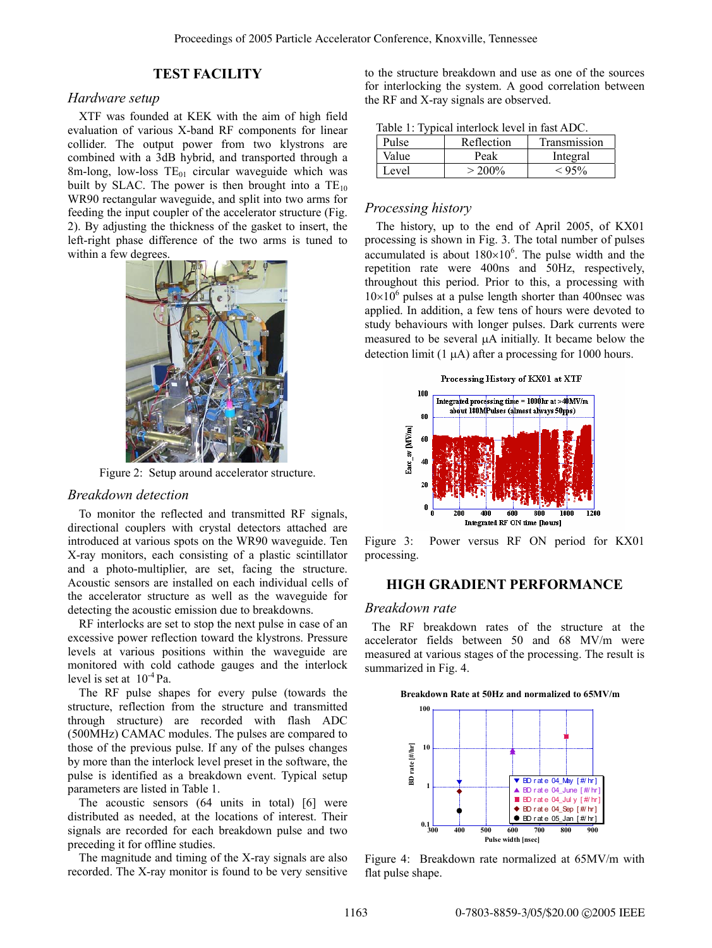# **TEST FACILITY**

# *Hardware setup*

XTF was founded at KEK with the aim of high field evaluation of various X-band RF components for linear collider. The output power from two klystrons are combined with a 3dB hybrid, and transported through a 8m-long, low-loss  $TE_{01}$  circular waveguide which was built by SLAC. The power is then brought into a  $TE_{10}$ WR90 rectangular waveguide, and split into two arms for feeding the input coupler of the accelerator structure (Fig. 2). By adjusting the thickness of the gasket to insert, the left-right phase difference of the two arms is tuned to within a few degrees.



Figure 2: Setup around accelerator structure.

#### *Breakdown detection*

To monitor the reflected and transmitted RF signals, directional couplers with crystal detectors attached are introduced at various spots on the WR90 waveguide. Ten X-ray monitors, each consisting of a plastic scintillator and a photo-multiplier, are set, facing the structure. Acoustic sensors are installed on each individual cells of the accelerator structure as well as the waveguide for detecting the acoustic emission due to breakdowns.

RF interlocks are set to stop the next pulse in case of an excessive power reflection toward the klystrons. Pressure levels at various positions within the waveguide are monitored with cold cathode gauges and the interlock level is set at  $10^{-4}$  Pa.

The RF pulse shapes for every pulse (towards the structure, reflection from the structure and transmitted through structure) are recorded with flash ADC (500MHz) CAMAC modules. The pulses are compared to those of the previous pulse. If any of the pulses changes by more than the interlock level preset in the software, the pulse is identified as a breakdown event. Typical setup parameters are listed in Table 1.

The acoustic sensors (64 units in total) [6] were distributed as needed, at the locations of interest. Their signals are recorded for each breakdown pulse and two preceding it for offline studies.

The magnitude and timing of the X-ray signals are also recorded. The X-ray monitor is found to be very sensitive to the structure breakdown and use as one of the sources for interlocking the system. A good correlation between the RF and X-ray signals are observed.

|  |  |  |  | Table 1: Typical interlock level in fast ADC. |
|--|--|--|--|-----------------------------------------------|
|--|--|--|--|-----------------------------------------------|

| Pulse | Reflection | Transmission |
|-------|------------|--------------|
| Value | Peak       | Integral     |
| Level | $> 200\%$  | < 95%        |

#### *Processing history*

The history, up to the end of April 2005, of KX01 processing is shown in Fig. 3. The total number of pulses accumulated is about  $180 \times 10^6$ . The pulse width and the repetition rate were 400ns and 50Hz, respectively, throughout this period. Prior to this, a processing with  $10\times10^6$  pulses at a pulse length shorter than 400nsec was applied. In addition, a few tens of hours were devoted to study behaviours with longer pulses. Dark currents were measured to be several µA initially. It became below the detection limit  $(1 \mu A)$  after a processing for 1000 hours.



Figure 3: Power versus RF ON period for KX01 processing.

# **HIGH GRADIENT PERFORMANCE**

#### *Breakdown rate*

The RF breakdown rates of the structure at the accelerator fields between 50 and 68 MV/m were measured at various stages of the processing. The result is summarized in Fig. 4.

**Breakdown Rate at 50Hz and normalized to 65MV/m**



Figure 4: Breakdown rate normalized at 65MV/m with flat pulse shape.